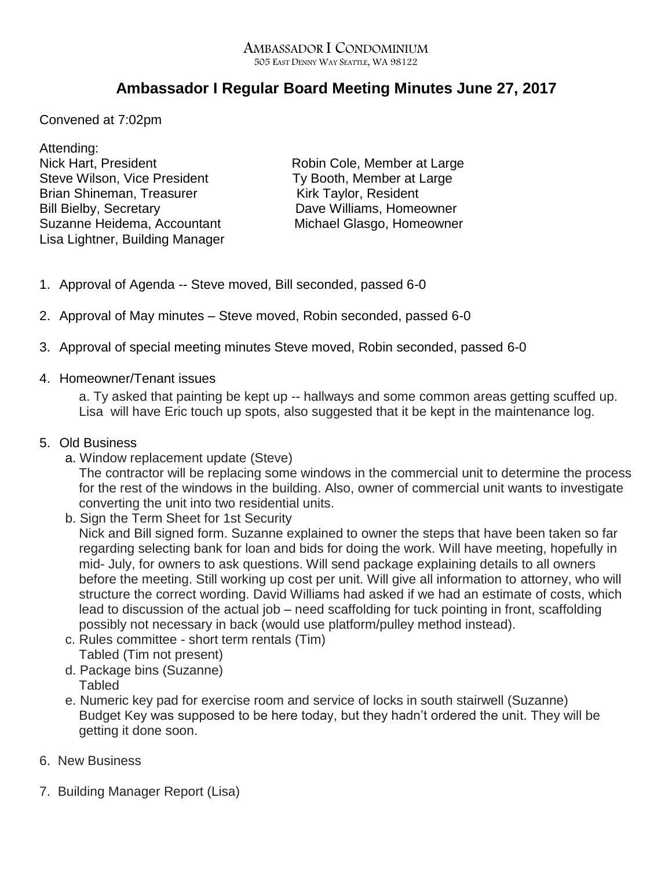## AMBASSADOR I CONDOMINIUM 505 EAST DENNY WAY SEATTLE, WA 98122

## **Ambassador I Regular Board Meeting Minutes June 27, 2017**

Convened at 7:02pm

Attending: Nick Hart, President **Robin Cole, Member at Large** Steve Wilson, Vice President Ty Booth, Member at Large Brian Shineman, Treasurer Kirk Taylor, Resident Bill Bielby, Secretary **Dave Williams**, Homeowner Suzanne Heidema, Accountant Michael Glasgo, Homeowner Lisa Lightner, Building Manager

- 1. Approval of Agenda -- Steve moved, Bill seconded, passed 6-0
- 2. Approval of May minutes Steve moved, Robin seconded, passed 6-0
- 3. Approval of special meeting minutes Steve moved, Robin seconded, passed 6-0
- 4. Homeowner/Tenant issues

a. Ty asked that painting be kept up -- hallways and some common areas getting scuffed up. Lisa will have Eric touch up spots, also suggested that it be kept in the maintenance log.

- 5. Old Business
	- a. Window replacement update (Steve)

The contractor will be replacing some windows in the commercial unit to determine the process for the rest of the windows in the building. Also, owner of commercial unit wants to investigate converting the unit into two residential units.

- b. Sign the Term Sheet for 1st Security Nick and Bill signed form. Suzanne explained to owner the steps that have been taken so far regarding selecting bank for loan and bids for doing the work. Will have meeting, hopefully in mid- July, for owners to ask questions. Will send package explaining details to all owners before the meeting. Still working up cost per unit. Will give all information to attorney, who will structure the correct wording. David Williams had asked if we had an estimate of costs, which lead to discussion of the actual job – need scaffolding for tuck pointing in front, scaffolding possibly not necessary in back (would use platform/pulley method instead).
- c. Rules committee short term rentals (Tim) Tabled (Tim not present)
- d. Package bins (Suzanne) **Tabled**
- e. Numeric key pad for exercise room and service of locks in south stairwell (Suzanne) Budget Key was supposed to be here today, but they hadn't ordered the unit. They will be getting it done soon.
- 6. New Business
- 7. Building Manager Report (Lisa)